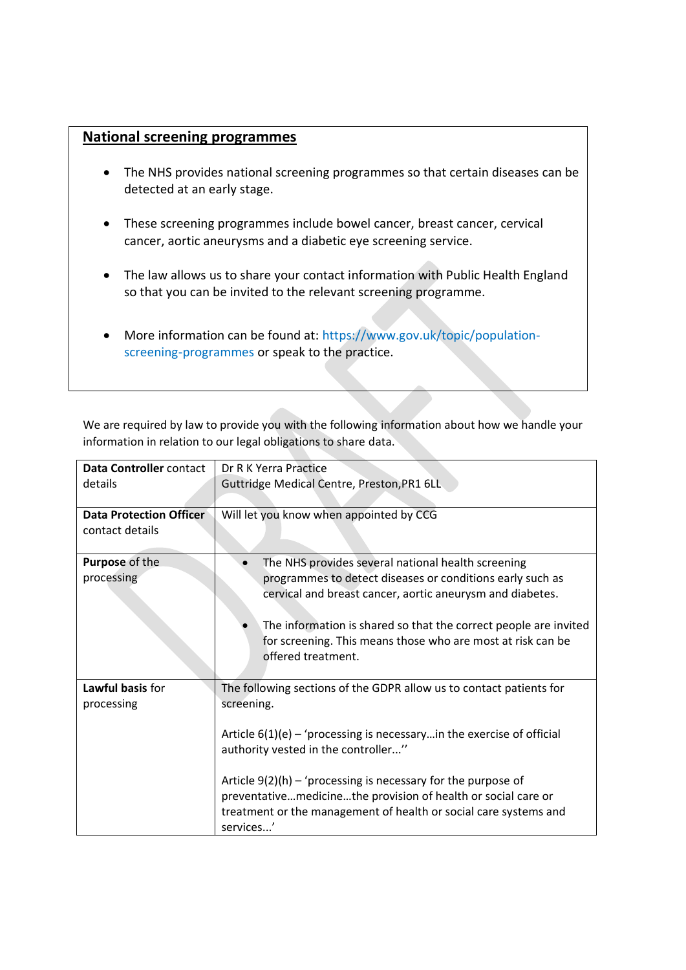## **National screening programmes**

- The NHS provides national screening programmes so that certain diseases can be detected at an early stage.
- These screening programmes include bowel cancer, breast cancer, cervical cancer, aortic aneurysms and a diabetic eye screening service.
- The law allows us to share your contact information with Public Health England so that you can be invited to the relevant screening programme.
- More information can be found at: [https://www.gov.uk/topic/population](https://www.gov.uk/topic/population-screening-programmes)[screening-programmes](https://www.gov.uk/topic/population-screening-programmes) or speak to the practice.

We are required by law to provide you with the following information about how we handle your information in relation to our legal obligations to share data.

| Data Controller contact        | Dr R K Yerra Practice                                                    |
|--------------------------------|--------------------------------------------------------------------------|
| details                        | Guttridge Medical Centre, Preston, PR1 6LL                               |
|                                |                                                                          |
| <b>Data Protection Officer</b> | Will let you know when appointed by CCG                                  |
| contact details                |                                                                          |
|                                |                                                                          |
| Purpose of the                 | The NHS provides several national health screening                       |
| processing                     | programmes to detect diseases or conditions early such as                |
|                                | cervical and breast cancer, aortic aneurysm and diabetes.                |
|                                |                                                                          |
|                                | The information is shared so that the correct people are invited         |
|                                | for screening. This means those who are most at risk can be              |
|                                | offered treatment.                                                       |
|                                |                                                                          |
| Lawful basis for               | The following sections of the GDPR allow us to contact patients for      |
| processing                     | screening.                                                               |
|                                |                                                                          |
|                                | Article $6(1)(e)$ – 'processing is necessary in the exercise of official |
|                                | authority vested in the controller"                                      |
|                                |                                                                          |
|                                | Article $9(2)(h)$ – 'processing is necessary for the purpose of          |
|                                | preventativemedicinethe provision of health or social care or            |
|                                | treatment or the management of health or social care systems and         |
|                                | services'                                                                |
|                                |                                                                          |